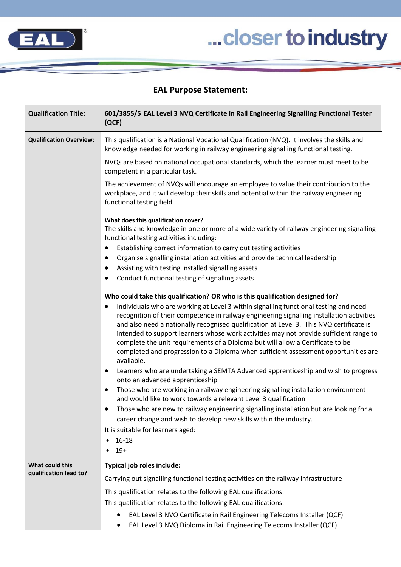

## ... closer to industry

## **EAL Purpose Statement:**

| <b>Qualification Title:</b>               | 601/3855/5 EAL Level 3 NVQ Certificate in Rail Engineering Signalling Functional Tester<br>(QCF)                                                                                                                                                                                                                                                                                                                                                                      |
|-------------------------------------------|-----------------------------------------------------------------------------------------------------------------------------------------------------------------------------------------------------------------------------------------------------------------------------------------------------------------------------------------------------------------------------------------------------------------------------------------------------------------------|
| <b>Qualification Overview:</b>            | This qualification is a National Vocational Qualification (NVQ). It involves the skills and<br>knowledge needed for working in railway engineering signalling functional testing.                                                                                                                                                                                                                                                                                     |
|                                           | NVQs are based on national occupational standards, which the learner must meet to be<br>competent in a particular task.                                                                                                                                                                                                                                                                                                                                               |
|                                           | The achievement of NVQs will encourage an employee to value their contribution to the<br>workplace, and it will develop their skills and potential within the railway engineering<br>functional testing field.                                                                                                                                                                                                                                                        |
|                                           | What does this qualification cover?<br>The skills and knowledge in one or more of a wide variety of railway engineering signalling<br>functional testing activities including:                                                                                                                                                                                                                                                                                        |
|                                           | Establishing correct information to carry out testing activities                                                                                                                                                                                                                                                                                                                                                                                                      |
|                                           | Organise signalling installation activities and provide technical leadership<br>٠                                                                                                                                                                                                                                                                                                                                                                                     |
|                                           | Assisting with testing installed signalling assets<br>$\bullet$                                                                                                                                                                                                                                                                                                                                                                                                       |
|                                           | Conduct functional testing of signalling assets<br>٠                                                                                                                                                                                                                                                                                                                                                                                                                  |
|                                           | Who could take this qualification? OR who is this qualification designed for?                                                                                                                                                                                                                                                                                                                                                                                         |
|                                           | Individuals who are working at Level 3 within signalling functional testing and need<br>$\bullet$                                                                                                                                                                                                                                                                                                                                                                     |
|                                           | recognition of their competence in railway engineering signalling installation activities<br>and also need a nationally recognised qualification at Level 3. This NVQ certificate is<br>intended to support learners whose work activities may not provide sufficient range to<br>complete the unit requirements of a Diploma but will allow a Certificate to be<br>completed and progression to a Diploma when sufficient assessment opportunities are<br>available. |
|                                           | Learners who are undertaking a SEMTA Advanced apprenticeship and wish to progress<br>$\bullet$<br>onto an advanced apprenticeship                                                                                                                                                                                                                                                                                                                                     |
|                                           | Those who are working in a railway engineering signalling installation environment<br>$\bullet$<br>and would like to work towards a relevant Level 3 qualification                                                                                                                                                                                                                                                                                                    |
|                                           | Those who are new to railway engineering signalling installation but are looking for a                                                                                                                                                                                                                                                                                                                                                                                |
|                                           | career change and wish to develop new skills within the industry.                                                                                                                                                                                                                                                                                                                                                                                                     |
|                                           | It is suitable for learners aged:                                                                                                                                                                                                                                                                                                                                                                                                                                     |
|                                           | 16-18<br>٠                                                                                                                                                                                                                                                                                                                                                                                                                                                            |
|                                           | $19+$                                                                                                                                                                                                                                                                                                                                                                                                                                                                 |
| What could this<br>qualification lead to? | Typical job roles include:                                                                                                                                                                                                                                                                                                                                                                                                                                            |
|                                           | Carrying out signalling functional testing activities on the railway infrastructure                                                                                                                                                                                                                                                                                                                                                                                   |
|                                           | This qualification relates to the following EAL qualifications:                                                                                                                                                                                                                                                                                                                                                                                                       |
|                                           | This qualification relates to the following EAL qualifications:                                                                                                                                                                                                                                                                                                                                                                                                       |
|                                           | EAL Level 3 NVQ Certificate in Rail Engineering Telecoms Installer (QCF)<br>EAL Level 3 NVQ Diploma in Rail Engineering Telecoms Installer (QCF)                                                                                                                                                                                                                                                                                                                      |